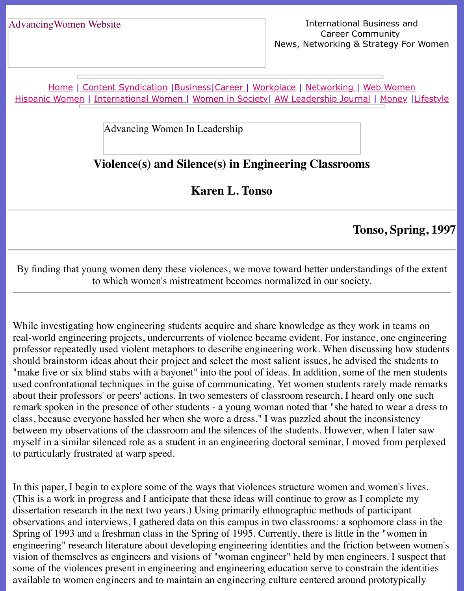Home | Content Syndication | Business | Career | Workplace | Networking | Web Wo Hispanic Women | International Women | Women in Society | AW Leadership Journal | Mon

Advancing Women In Leadership

# **[Violence\(s\) and](file:///content.html) [Silence](file:///business.html)[\(s\) in E](file:///awcareer.html)[ngineerin](file:///workplace.html)[g Classroo](file:///networks.html)[ms](file:///web.html)**

**Karen L. Tonso**

## **Tonso, S**

By finding that young women deny these violences, we move toward better understandings to which women's mistreatment becomes normalized in our society.

While investigating how engineering students acquire and share knowledge as they work in the real-world engineering projects, undercurrents of violence became evident. For instance, one professor repeatedly used violent metaphors to describe engineering work. When discussing should brainstorm ideas about their project and select the most salient issues, he advised the "make five or six blind stabs with a bayonet" into the pool of ideas. In addition, some of the used confrontational techniques in the guise of communicating. Yet women students rarely n about their professors' or peers' actions. In two semesters of classroom research, I heard only remark spoken in the presence of other students - a young woman noted that "she hated to we class, because everyone hassled her when she wore a dress." I was puzzled about the inconsi between my observations of the classroom and the silences of the students. However, when I myself in a similar silenced role as a student in an engineering doctoral seminar, I moved from to particularly frustrated at warp speed.

In this paper, I begin to explore some of the ways that violences structure women and women's (This is a work in progress and I anticipate that these ideas will continue to grow as I complete dissertation research in the next two years.) Using primarily ethnographic methods of partici observations and interviews, I gathered data on this campus in two class rooms: a sophomore Spring of 1993 and a freshman class in the Spring of 1995. Currently, there is little in the "w engineering" research literature about developing engineering identities and the friction between women's vision of themselves as engineers and visions of "woman engineer" held by men engineers. I some of the violences present in engineering and engineering education serve to constrain the identity of the identity. available to women engineers and to maintain an engineering culture centered around protot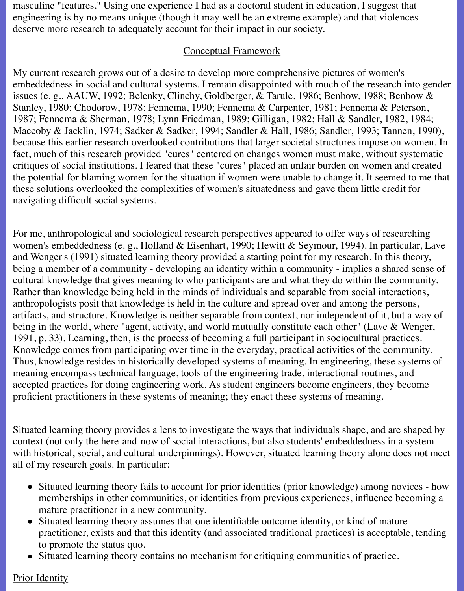masculine "features." Using one experience I had as a doctoral student in education, I suggest that engineering is by no means unique (though it may well be an extreme example) and that violences deserve more research to adequately account for their impact in our society.

#### Conceptual Framework

My current research grows out of a desire to develop more comprehensive pictures of women's embeddedness in social and cultural systems. I remain disappointed with much of the research into gender issues (e. g., AAUW, 1992; Belenky, Clinchy, Goldberger, & Tarule, 1986; Benbow, 1988; Benbow & Stanley, 1980; Chodorow, 1978; Fennema, 1990; Fennema & Carpenter, 1981; Fennema & Peterson, 1987; Fennema & Sherman, 1978; Lynn Friedman, 1989; Gilligan, 1982; Hall & Sandler, 1982, 1984; Maccoby & Jacklin, 1974; Sadker & Sadker, 1994; Sandler & Hall, 1986; Sandler, 1993; Tannen, 1990), because this earlier research overlooked contributions that larger societal structures impose on women. In fact, much of this research provided "cures" centered on changes women must make, without systematic critiques of social institutions. I feared that these "cures" placed an unfair burden on women and created the potential for blaming women for the situation if women were unable to change it. It seemed to me that these solutions overlooked the complexities of women's situatedness and gave them little credit for navigating difficult social systems.

For me, anthropological and sociological research perspectives appeared to offer ways of researching women's embeddedness (e. g., Holland & Eisenhart, 1990; Hewitt & Seymour, 1994). In particular, Lave and Wenger's (1991) situated learning theory provided a starting point for my research. In this theory, being a member of a community - developing an identity within a community - implies a shared sense of cultural knowledge that gives meaning to who participants are and what they do within the community. Rather than knowledge being held in the minds of individuals and separable from social interactions, anthropologists posit that knowledge is held in the culture and spread over and among the persons, artifacts, and structure. Knowledge is neither separable from context, nor independent of it, but a way of being in the world, where "agent, activity, and world mutually constitute each other" (Lave & Wenger, 1991, p. 33). Learning, then, is the process of becoming a full participant in sociocultural practices. Knowledge comes from participating over time in the everyday, practical activities of the community. Thus, knowledge resides in historically developed systems of meaning. In engineering, these systems of meaning encompass technical language, tools of the engineering trade, interactional routines, and accepted practices for doing engineering work. As student engineers become engineers, they become proficient practitioners in these systems of meaning; they enact these systems of meaning.

Situated learning theory provides a lens to investigate the ways that individuals shape, and are shaped by context (not only the here-and-now of social interactions, but also students' embeddedness in a system with historical, social, and cultural underpinnings). However, situated learning theory alone does not meet all of my research goals. In particular:

- Situated learning theory fails to account for prior identities (prior knowledge) among novices how memberships in other communities, or identities from previous experiences, influence becoming a mature practitioner in a new community.
- Situated learning theory assumes that one identifiable outcome identity, or kind of mature practitioner, exists and that this identity (and associated traditional practices) is acceptable, tending to promote the status quo.
- Situated learning theory contains no mechanism for critiquing communities of practice.

### Prior Identity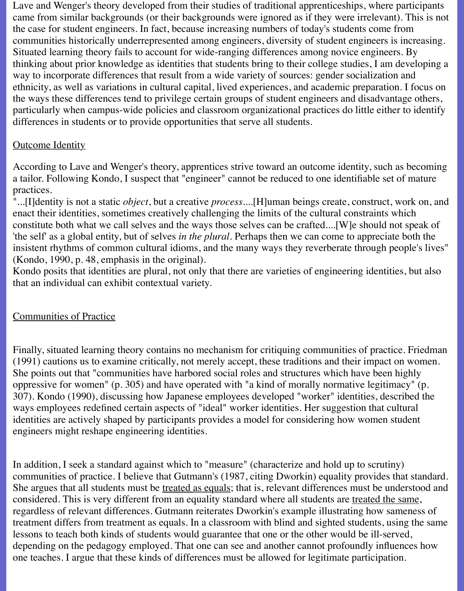Lave and Wenger's theory developed from their studies of traditional apprenticeships, where participants came from similar backgrounds (or their backgrounds were ignored as if they were irrelevant). This is not the case for student engineers. In fact, because increasing numbers of today's students come from communities historically underrepresented among engineers, diversity of student engineers is increasing. Situated learning theory fails to account for wide-ranging differences among novice engineers. By thinking about prior knowledge as identities that students bring to their college studies, I am developing a way to incorporate differences that result from a wide variety of sources: gender socialization and ethnicity, as well as variations in cultural capital, lived experiences, and academic preparation. I focus on the ways these differences tend to privilege certain groups of student engineers and disadvantage others, particularly when campus-wide policies and classroom organizational practices do little either to identify differences in students or to provide opportunities that serve all students.

## **Outcome Identity**

According to Lave and Wenger's theory, apprentices strive toward an outcome identity, such as becoming a tailor. Following Kondo, I suspect that "engineer" cannot be reduced to one identifiable set of mature practices.

"...[I]dentity is not a static *object*, but a creative *process*....[H]uman beings create, construct, work on, and enact their identities, sometimes creatively challenging the limits of the cultural constraints which constitute both what we call selves and the ways those selves can be crafted....[W]e should not speak of 'the self' as a global entity, but of selves *in the plural*. Perhaps then we can come to appreciate both the insistent rhythms of common cultural idioms, and the many ways they reverberate through people's lives" (Kondo, 1990, p. 48, emphasis in the original).

Kondo posits that identities are plural, not only that there are varieties of engineering identities, but also that an individual can exhibit contextual variety.

## Communities of Practice

Finally, situated learning theory contains no mechanism for critiquing communities of practice. Friedman (1991) cautions us to examine critically, not merely accept, these traditions and their impact on women. She points out that "communities have harbored social roles and structures which have been highly oppressive for women" (p. 305) and have operated with "a kind of morally normative legitimacy" (p. 307). Kondo (1990), discussing how Japanese employees developed "worker" identities, described the ways employees redefined certain aspects of "ideal" worker identities. Her suggestion that cultural identities are actively shaped by participants provides a model for considering how women student engineers might reshape engineering identities.

In addition, I seek a standard against which to "measure" (characterize and hold up to scrutiny) communities of practice. I believe that Gutmann's (1987, citing Dworkin) equality provides that standard. She argues that all students must be treated as equals; that is, relevant differences must be understood and considered. This is very different from an equality standard where all students are treated the same, regardless of relevant differences. Gutmann reiterates Dworkin's example illustrating how sameness of treatment differs from treatment as equals. In a classroom with blind and sighted students, using the same lessons to teach both kinds of students would guarantee that one or the other would be ill-served, depending on the pedagogy employed. That one can see and another cannot profoundly influences how one teaches. I argue that these kinds of differences must be allowed for legitimate participation.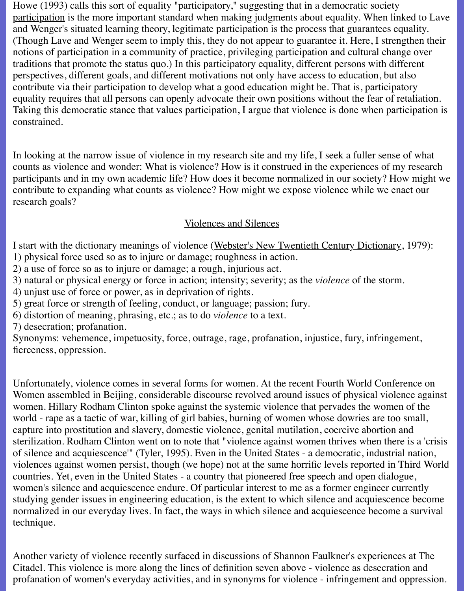Howe (1993) calls this sort of equality "participatory," suggesting that in a democratic society participation is the more important standard when making judgments about equality. When linked to Lave and Wenger's situated learning theory, legitimate participation is the process that guarantees equality. (Though Lave and Wenger seem to imply this, they do not appear to guarantee it. Here, I strengthen their notions of participation in a community of practice, privileging participation and cultural change over traditions that promote the status quo.) In this participatory equality, different persons with different perspectives, different goals, and different motivations not only have access to education, but also contribute via their participation to develop what a good education might be. That is, participatory equality requires that all persons can openly advocate their own positions without the fear of retaliation. Taking this democratic stance that values participation, I argue that violence is done when participation is constrained.

In looking at the narrow issue of violence in my research site and my life, I seek a fuller sense of what counts as violence and wonder: What is violence? How is it construed in the experiences of my research participants and in my own academic life? How does it become normalized in our society? How might we contribute to expanding what counts as violence? How might we expose violence while we enact our research goals?

## Violences and Silences

I start with the dictionary meanings of violence (Webster's New Twentieth Century Dictionary, 1979): 1) physical force used so as to injure or damage; roughness in action.

2) a use of force so as to injure or damage; a rough, injurious act.

3) natural or physical energy or force in action; intensity; severity; as the *violence* of the storm.

4) unjust use of force or power, as in deprivation of rights.

5) great force or strength of feeling, conduct, or language; passion; fury.

6) distortion of meaning, phrasing, etc.; as to do *violence* to a text.

7) desecration; profanation.

Synonyms: vehemence, impetuosity, force, outrage, rage, profanation, injustice, fury, infringement, fierceness, oppression.

Unfortunately, violence comes in several forms for women. At the recent Fourth World Conference on Women assembled in Beijing, considerable discourse revolved around issues of physical violence against women. Hillary Rodham Clinton spoke against the systemic violence that pervades the women of the world - rape as a tactic of war, killing of girl babies, burning of women whose dowries are too small, capture into prostitution and slavery, domestic violence, genital mutilation, coercive abortion and sterilization. Rodham Clinton went on to note that "violence against women thrives when there is a 'crisis of silence and acquiescence'" (Tyler, 1995). Even in the United States - a democratic, industrial nation, violences against women persist, though (we hope) not at the same horrific levels reported in Third World countries. Yet, even in the United States - a country that pioneered free speech and open dialogue, women's silence and acquiescence endure. Of particular interest to me as a former engineer currently studying gender issues in engineering education, is the extent to which silence and acquiescence become normalized in our everyday lives. In fact, the ways in which silence and acquiescence become a survival technique.

Another variety of violence recently surfaced in discussions of Shannon Faulkner's experiences at The Citadel. This violence is more along the lines of definition seven above - violence as desecration and profanation of women's everyday activities, and in synonyms for violence - infringement and oppression.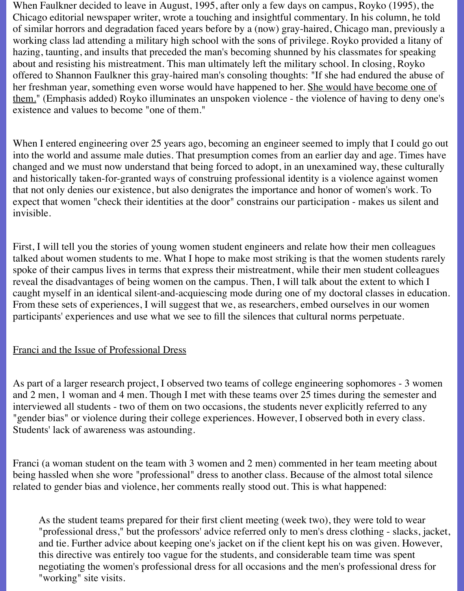When Faulkner decided to leave in August, 1995, after only a few days on campus, Royko (1995), the Chicago editorial newspaper writer, wrote a touching and insightful commentary. In his column, he told of similar horrors and degradation faced years before by a (now) gray-haired, Chicago man, previously a working class lad attending a military high school with the sons of privilege. Royko provided a litany of hazing, taunting, and insults that preceded the man's becoming shunned by his classmates for speaking about and resisting his mistreatment. This man ultimately left the military school. In closing, Royko offered to Shannon Faulkner this gray-haired man's consoling thoughts: "If she had endured the abuse of her freshman year, something even worse would have happened to her. She would have become one of them." (Emphasis added) Royko illuminates an unspoken violence - the violence of having to deny one's existence and values to become "one of them."

When I entered engineering over 25 years ago, becoming an engineer seemed to imply that I could go out into the world and assume male duties. That presumption comes from an earlier day and age. Times have changed and we must now understand that being forced to adopt, in an unexamined way, these culturally and historically taken-for-granted ways of construing professional identity is a violence against women that not only denies our existence, but also denigrates the importance and honor of women's work. To expect that women "check their identities at the door" constrains our participation - makes us silent and invisible.

First, I will tell you the stories of young women student engineers and relate how their men colleagues talked about women students to me. What I hope to make most striking is that the women students rarely spoke of their campus lives in terms that express their mistreatment, while their men student colleagues reveal the disadvantages of being women on the campus. Then, I will talk about the extent to which I caught myself in an identical silent-and-acquiescing mode during one of my doctoral classes in education. From these sets of experiences, I will suggest that we, as researchers, embed ourselves in our women participants' experiences and use what we see to fill the silences that cultural norms perpetuate.

### Franci and the Issue of Professional Dress

As part of a larger research project, I observed two teams of college engineering sophomores - 3 women and 2 men, 1 woman and 4 men. Though I met with these teams over 25 times during the semester and interviewed all students - two of them on two occasions, the students never explicitly referred to any "gender bias" or violence during their college experiences. However, I observed both in every class. Students' lack of awareness was astounding.

Franci (a woman student on the team with 3 women and 2 men) commented in her team meeting about being hassled when she wore "professional" dress to another class. Because of the almost total silence related to gender bias and violence, her comments really stood out. This is what happened:

As the student teams prepared for their first client meeting (week two), they were told to wear "professional dress," but the professors' advice referred only to men's dress clothing - slacks, jacket, and tie. Further advice about keeping one's jacket on if the client kept his on was given. However, this directive was entirely too vague for the students, and considerable team time was spent negotiating the women's professional dress for all occasions and the men's professional dress for "working" site visits.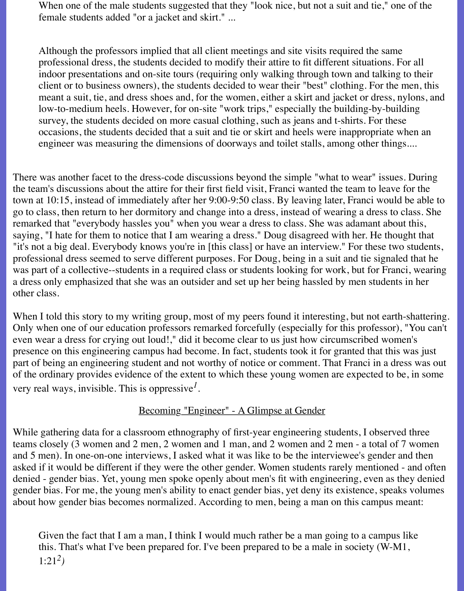When one of the male students suggested that they "look nice, but not a suit and tie," one of the female students added "or a jacket and skirt." ...

Although the professors implied that all client meetings and site visits required the same professional dress, the students decided to modify their attire to fit different situations. For all indoor presentations and on-site tours (requiring only walking through town and talking to their client or to business owners), the students decided to wear their "best" clothing. For the men, this meant a suit, tie, and dress shoes and, for the women, either a skirt and jacket or dress, nylons, and low-to-medium heels. However, for on-site "work trips," especially the building-by-building survey, the students decided on more casual clothing, such as jeans and t-shirts. For these occasions, the students decided that a suit and tie or skirt and heels were inappropriate when an engineer was measuring the dimensions of doorways and toilet stalls, among other things....

There was another facet to the dress-code discussions beyond the simple "what to wear" issues. During the team's discussions about the attire for their first field visit, Franci wanted the team to leave for the town at 10:15, instead of immediately after her 9:00-9:50 class. By leaving later, Franci would be able to go to class, then return to her dormitory and change into a dress, instead of wearing a dress to class. She remarked that "everybody hassles you" when you wear a dress to class. She was adamant about this, saying, "I hate for them to notice that I am wearing a dress." Doug disagreed with her. He thought that "it's not a big deal. Everybody knows you're in [this class] or have an interview." For these two students, professional dress seemed to serve different purposes. For Doug, being in a suit and tie signaled that he was part of a collective--students in a required class or students looking for work, but for Franci, wearing a dress only emphasized that she was an outsider and set up her being hassled by men students in her other class.

When I told this story to my writing group, most of my peers found it interesting, but not earth-shattering. Only when one of our education professors remarked forcefully (especially for this professor), "You can't even wear a dress for crying out loud!," did it become clear to us just how circumscribed women's presence on this engineering campus had become. In fact, students took it for granted that this was just part of being an engineering student and not worthy of notice or comment. That Franci in a dress was out of the ordinary provides evidence of the extent to which these young women are expected to be, in some very real ways, invisible. This is oppressive*1*.

### Becoming "Engineer" - A Glimpse at Gender

While gathering data for a classroom ethnography of first-year engineering students, I observed three teams closely (3 women and 2 men, 2 women and 1 man, and 2 women and 2 men - a total of 7 women and 5 men). In one-on-one interviews, I asked what it was like to be the interviewee's gender and then asked if it would be different if they were the other gender. Women students rarely mentioned - and often denied - gender bias. Yet, young men spoke openly about men's fit with engineering, even as they denied gender bias. For me, the young men's ability to enact gender bias, yet deny its existence, speaks volumes about how gender bias becomes normalized. According to men, being a man on this campus meant:

Given the fact that I am a man, I think I would much rather be a man going to a campus like this. That's what I've been prepared for. I've been prepared to be a male in society (W-M1, 1:21*2)*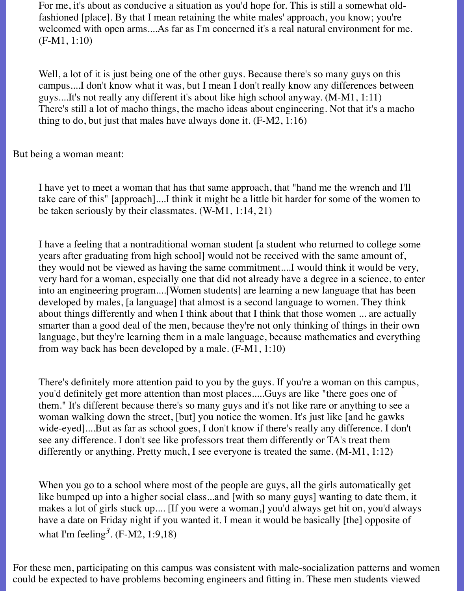For me, it's about as conducive a situation as you'd hope for. This is still a somewhat oldfashioned [place]. By that I mean retaining the white males' approach, you know; you're welcomed with open arms....As far as I'm concerned it's a real natural environment for me. (F-M1, 1:10)

Well, a lot of it is just being one of the other guys. Because there's so many guys on this campus....I don't know what it was, but I mean I don't really know any differences between guys....It's not really any different it's about like high school anyway. (M-M1, 1:11) There's still a lot of macho things, the macho ideas about engineering. Not that it's a macho thing to do, but just that males have always done it. (F-M2, 1:16)

But being a woman meant:

I have yet to meet a woman that has that same approach, that "hand me the wrench and I'll take care of this" [approach]....I think it might be a little bit harder for some of the women to be taken seriously by their classmates. (W-M1, 1:14, 21)

I have a feeling that a nontraditional woman student [a student who returned to college some years after graduating from high school] would not be received with the same amount of, they would not be viewed as having the same commitment....I would think it would be very, very hard for a woman, especially one that did not already have a degree in a science, to enter into an engineering program....[Women students] are learning a new language that has been developed by males, [a language] that almost is a second language to women. They think about things differently and when I think about that I think that those women ... are actually smarter than a good deal of the men, because they're not only thinking of things in their own language, but they're learning them in a male language, because mathematics and everything from way back has been developed by a male. (F-M1, 1:10)

There's definitely more attention paid to you by the guys. If you're a woman on this campus, you'd definitely get more attention than most places.....Guys are like "there goes one of them." It's different because there's so many guys and it's not like rare or anything to see a woman walking down the street, [but] you notice the women. It's just like [and he gawks wide-eyed]....But as far as school goes, I don't know if there's really any difference. I don't see any difference. I don't see like professors treat them differently or TA's treat them differently or anything. Pretty much, I see everyone is treated the same. (M-M1, 1:12)

When you go to a school where most of the people are guys, all the girls automatically get like bumped up into a higher social class...and [with so many guys] wanting to date them, it makes a lot of girls stuck up.... [If you were a woman,] you'd always get hit on, you'd always have a date on Friday night if you wanted it. I mean it would be basically [the] opposite of what I'm feeling*3.* (F-M2, 1:9,18)

For these men, participating on this campus was consistent with male-socialization patterns and women could be expected to have problems becoming engineers and fitting in. These men students viewed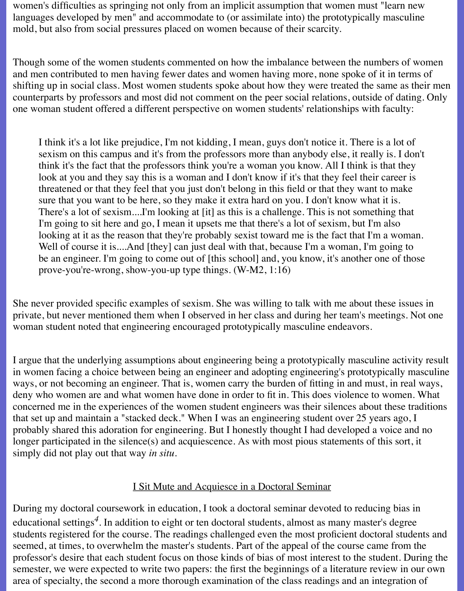women's difficulties as springing not only from an implicit assumption that women must "learn new languages developed by men" and accommodate to (or assimilate into) the prototypically masculine mold, but also from social pressures placed on women because of their scarcity.

Though some of the women students commented on how the imbalance between the numbers of women and men contributed to men having fewer dates and women having more, none spoke of it in terms of shifting up in social class. Most women students spoke about how they were treated the same as their men counterparts by professors and most did not comment on the peer social relations, outside of dating. Only one woman student offered a different perspective on women students' relationships with faculty:

I think it's a lot like prejudice, I'm not kidding, I mean, guys don't notice it. There is a lot of sexism on this campus and it's from the professors more than anybody else, it really is. I don't think it's the fact that the professors think you're a woman you know. All I think is that they look at you and they say this is a woman and I don't know if it's that they feel their career is threatened or that they feel that you just don't belong in this field or that they want to make sure that you want to be here, so they make it extra hard on you. I don't know what it is. There's a lot of sexism....I'm looking at [it] as this is a challenge. This is not something that I'm going to sit here and go, I mean it upsets me that there's a lot of sexism, but I'm also looking at it as the reason that they're probably sexist toward me is the fact that I'm a woman. Well of course it is....And [they] can just deal with that, because I'm a woman, I'm going to be an engineer. I'm going to come out of [this school] and, you know, it's another one of those prove-you're-wrong, show-you-up type things. (W-M2, 1:16)

She never provided specific examples of sexism. She was willing to talk with me about these issues in private, but never mentioned them when I observed in her class and during her team's meetings. Not one woman student noted that engineering encouraged prototypically masculine endeavors.

I argue that the underlying assumptions about engineering being a prototypically masculine activity result in women facing a choice between being an engineer and adopting engineering's prototypically masculine ways, or not becoming an engineer. That is, women carry the burden of fitting in and must, in real ways, deny who women are and what women have done in order to fit in. This does violence to women. What concerned me in the experiences of the women student engineers was their silences about these traditions that set up and maintain a "stacked deck." When I was an engineering student over 25 years ago, I probably shared this adoration for engineering. But I honestly thought I had developed a voice and no longer participated in the silence(s) and acquiescence. As with most pious statements of this sort, it simply did not play out that way *in situ*.

### I Sit Mute and Acquiesce in a Doctoral Seminar

During my doctoral coursework in education, I took a doctoral seminar devoted to reducing bias in educational settings*4*. In addition to eight or ten doctoral students, almost as many master's degree students registered for the course. The readings challenged even the most proficient doctoral students and seemed, at times, to overwhelm the master's students. Part of the appeal of the course came from the professor's desire that each student focus on those kinds of bias of most interest to the student. During the semester, we were expected to write two papers: the first the beginnings of a literature review in our own area of specialty, the second a more thorough examination of the class readings and an integration of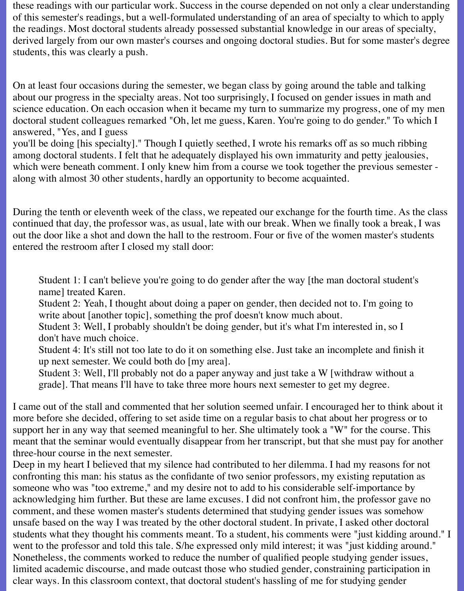these readings with our particular work. Success in the course depended on not only a clear understanding of this semester's readings, but a well-formulated understanding of an area of specialty to which to apply the readings. Most doctoral students already possessed substantial knowledge in our areas of specialty, derived largely from our own master's courses and ongoing doctoral studies. But for some master's degree students, this was clearly a push.

On at least four occasions during the semester, we began class by going around the table and talking about our progress in the specialty areas. Not too surprisingly, I focused on gender issues in math and science education. On each occasion when it became my turn to summarize my progress, one of my men doctoral student colleagues remarked "Oh, let me guess, Karen. You're going to do gender." To which I answered, "Yes, and I guess

you'll be doing [his specialty]." Though I quietly seethed, I wrote his remarks off as so much ribbing among doctoral students. I felt that he adequately displayed his own immaturity and petty jealousies, which were beneath comment. I only knew him from a course we took together the previous semester along with almost 30 other students, hardly an opportunity to become acquainted.

During the tenth or eleventh week of the class, we repeated our exchange for the fourth time. As the class continued that day, the professor was, as usual, late with our break. When we finally took a break, I was out the door like a shot and down the hall to the restroom. Four or five of the women master's students entered the restroom after I closed my stall door:

Student 1: I can't believe you're going to do gender after the way [the man doctoral student's name] treated Karen.

Student 2: Yeah, I thought about doing a paper on gender, then decided not to. I'm going to write about [another topic], something the prof doesn't know much about.

Student 3: Well, I probably shouldn't be doing gender, but it's what I'm interested in, so I don't have much choice.

Student 4: It's still not too late to do it on something else. Just take an incomplete and finish it up next semester. We could both do [my area].

Student 3: Well, I'll probably not do a paper anyway and just take a W [withdraw without a grade]. That means I'll have to take three more hours next semester to get my degree.

I came out of the stall and commented that her solution seemed unfair. I encouraged her to think about it more before she decided, offering to set aside time on a regular basis to chat about her progress or to support her in any way that seemed meaningful to her. She ultimately took a "W" for the course. This meant that the seminar would eventually disappear from her transcript, but that she must pay for another three-hour course in the next semester.

Deep in my heart I believed that my silence had contributed to her dilemma. I had my reasons for not confronting this man: his status as the confidante of two senior professors, my existing reputation as someone who was "too extreme," and my desire not to add to his considerable self-importance by acknowledging him further. But these are lame excuses. I did not confront him, the professor gave no comment, and these women master's students determined that studying gender issues was somehow unsafe based on the way I was treated by the other doctoral student. In private, I asked other doctoral students what they thought his comments meant. To a student, his comments were "just kidding around." I went to the professor and told this tale. S/he expressed only mild interest; it was "just kidding around." Nonetheless, the comments worked to reduce the number of qualified people studying gender issues, limited academic discourse, and made outcast those who studied gender, constraining participation in clear ways. In this classroom context, that doctoral student's hassling of me for studying gender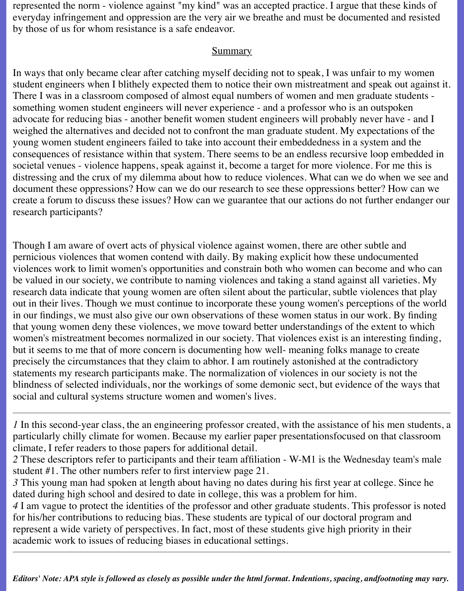represented the norm - violence against "my kind" was an accepted practice. I argue that these kinds of everyday infringement and oppression are the very air we breathe and must be documented and resisted by those of us for whom resistance is a safe endeavor.

#### **Summary**

In ways that only became clear after catching myself deciding not to speak, I was unfair to my women student engineers when I blithely expected them to notice their own mistreatment and speak out against it. There I was in a classroom composed of almost equal numbers of women and men graduate students something women student engineers will never experience - and a professor who is an outspoken advocate for reducing bias - another benefit women student engineers will probably never have - and I weighed the alternatives and decided not to confront the man graduate student. My expectations of the young women student engineers failed to take into account their embeddedness in a system and the consequences of resistance within that system. There seems to be an endless recursive loop embedded in societal venues - violence happens, speak against it, become a target for more violence. For me this is distressing and the crux of my dilemma about how to reduce violences. What can we do when we see and document these oppressions? How can we do our research to see these oppressions better? How can we create a forum to discuss these issues? How can we guarantee that our actions do not further endanger our research participants?

Though I am aware of overt acts of physical violence against women, there are other subtle and pernicious violences that women contend with daily. By making explicit how these undocumented violences work to limit women's opportunities and constrain both who women can become and who can be valued in our society, we contribute to naming violences and taking a stand against all varieties. My research data indicate that young women are often silent about the particular, subtle violences that play out in their lives. Though we must continue to incorporate these young women's perceptions of the world in our findings, we must also give our own observations of these women status in our work. By finding that young women deny these violences, we move toward better understandings of the extent to which women's mistreatment becomes normalized in our society. That violences exist is an interesting finding, but it seems to me that of more concern is documenting how well- meaning folks manage to create precisely the circumstances that they claim to abhor. I am routinely astonished at the contradictory statements my research participants make. The normalization of violences in our society is not the blindness of selected individuals, nor the workings of some demonic sect, but evidence of the ways that social and cultural systems structure women and women's lives.

*1* In this second-year class, the an engineering professor created, with the assistance of his men students, a particularly chilly climate for women. Because my earlier paper presentationsfocused on that classroom climate, I refer readers to those papers for additional detail.

*2* These descriptors refer to participants and their team affiliation - W-M1 is the Wednesday team's male student #1. The other numbers refer to first interview page 21.

*3* This young man had spoken at length about having no dates during his first year at college. Since he dated during high school and desired to date in college, this was a problem for him.

*4* I am vague to protect the identities of the professor and other graduate students. This professor is noted for his/her contributions to reducing bias. These students are typical of our doctoral program and represent a wide variety of perspectives. In fact, most of these students give high priority in their academic work to issues of reducing biases in educational settings.

*Editors' Note: APA style is followed as closely as possible under the html format. Indentions, spacing, andfootnoting may vary.*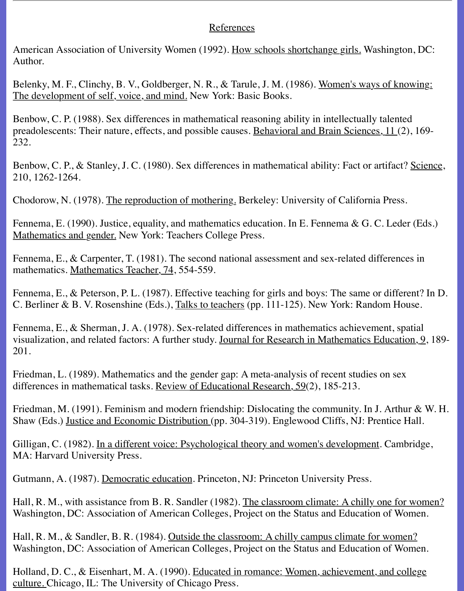#### References

American Association of University Women (1992). How schools shortchange girls. Washington, DC: Author.

Belenky, M. F., Clinchy, B. V., Goldberger, N. R., & Tarule, J. M. (1986). Women's ways of knowing: The development of self, voice, and mind. New York: Basic Books.

Benbow, C. P. (1988). Sex differences in mathematical reasoning ability in intellectually talented preadolescents: Their nature, effects, and possible causes. Behavioral and Brain Sciences, 11 (2), 169- 232.

Benbow, C. P., & Stanley, J. C. (1980). Sex differences in mathematical ability: Fact or artifact? Science, 210, 1262-1264.

Chodorow, N. (1978). The reproduction of mothering. Berkeley: University of California Press.

Fennema, E. (1990). Justice, equality, and mathematics education. In E. Fennema & G. C. Leder (Eds.) Mathematics and gender. New York: Teachers College Press.

Fennema, E., & Carpenter, T. (1981). The second national assessment and sex-related differences in mathematics. Mathematics Teacher, 74, 554-559.

Fennema, E., & Peterson, P. L. (1987). Effective teaching for girls and boys: The same or different? In D. C. Berliner & B. V. Rosenshine (Eds.), Talks to teachers (pp. 111-125). New York: Random House.

Fennema, E., & Sherman, J. A. (1978). Sex-related differences in mathematics achievement, spatial visualization, and related factors: A further study. Journal for Research in Mathematics Education, 9, 189- 201.

Friedman, L. (1989). Mathematics and the gender gap: A meta-analysis of recent studies on sex differences in mathematical tasks. Review of Educational Research, 59(2), 185-213.

Friedman, M. (1991). Feminism and modern friendship: Dislocating the community. In J. Arthur & W. H. Shaw (Eds.) Justice and Economic Distribution (pp. 304-319). Englewood Cliffs, NJ: Prentice Hall.

Gilligan, C. (1982). In a different voice: Psychological theory and women's development. Cambridge, MA: Harvard University Press.

Gutmann, A. (1987). Democratic education. Princeton, NJ: Princeton University Press.

Hall, R. M., with assistance from B. R. Sandler (1982). The classroom climate: A chilly one for women? Washington, DC: Association of American Colleges, Project on the Status and Education of Women.

Hall, R. M., & Sandler, B. R. (1984). Outside the classroom: A chilly campus climate for women? Washington, DC: Association of American Colleges, Project on the Status and Education of Women.

Holland, D. C., & Eisenhart, M. A. (1990). Educated in romance: Women, achievement, and college culture. Chicago, IL: The University of Chicago Press.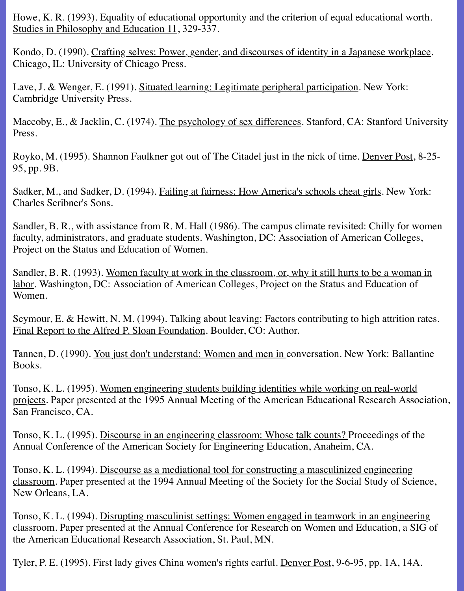Howe, K. R. (1993). Equality of educational opportunity and the criterion of equal educational worth. Studies in Philosophy and Education 11, 329-337.

Kondo, D. (1990). Crafting selves: Power, gender, and discourses of identity in a Japanese workplace. Chicago, IL: University of Chicago Press.

Lave, J. & Wenger, E. (1991). Situated learning: Legitimate peripheral participation. New York: Cambridge University Press.

Maccoby, E., & Jacklin, C. (1974). The psychology of sex differences. Stanford, CA: Stanford University Press.

Royko, M. (1995). Shannon Faulkner got out of The Citadel just in the nick of time. Denver Post, 8-25- 95, pp. 9B.

Sadker, M., and Sadker, D. (1994). Failing at fairness: How America's schools cheat girls. New York: Charles Scribner's Sons.

Sandler, B. R., with assistance from R. M. Hall (1986). The campus climate revisited: Chilly for women faculty, administrators, and graduate students. Washington, DC: Association of American Colleges, Project on the Status and Education of Women.

Sandler, B. R. (1993). Women faculty at work in the classroom, or, why it still hurts to be a woman in labor. Washington, DC: Association of American Colleges, Project on the Status and Education of Women.

Seymour, E. & Hewitt, N. M. (1994). Talking about leaving: Factors contributing to high attrition rates. Final Report to the Alfred P. Sloan Foundation. Boulder, CO: Author.

Tannen, D. (1990). You just don't understand: Women and men in conversation. New York: Ballantine Books.

Tonso, K. L. (1995). Women engineering students building identities while working on real-world projects. Paper presented at the 1995 Annual Meeting of the American Educational Research Association, San Francisco, CA.

Tonso, K. L. (1995). Discourse in an engineering classroom: Whose talk counts? Proceedings of the Annual Conference of the American Society for Engineering Education, Anaheim, CA.

Tonso, K. L. (1994). Discourse as a mediational tool for constructing a masculinized engineering classroom. Paper presented at the 1994 Annual Meeting of the Society for the Social Study of Science, New Orleans, LA.

Tonso, K. L. (1994). Disrupting masculinist settings: Women engaged in teamwork in an engineering classroom. Paper presented at the Annual Conference for Research on Women and Education, a SIG of the American Educational Research Association, St. Paul, MN.

Tyler, P. E. (1995). First lady gives China women's rights earful. Denver Post, 9-6-95, pp. 1A, 14A.